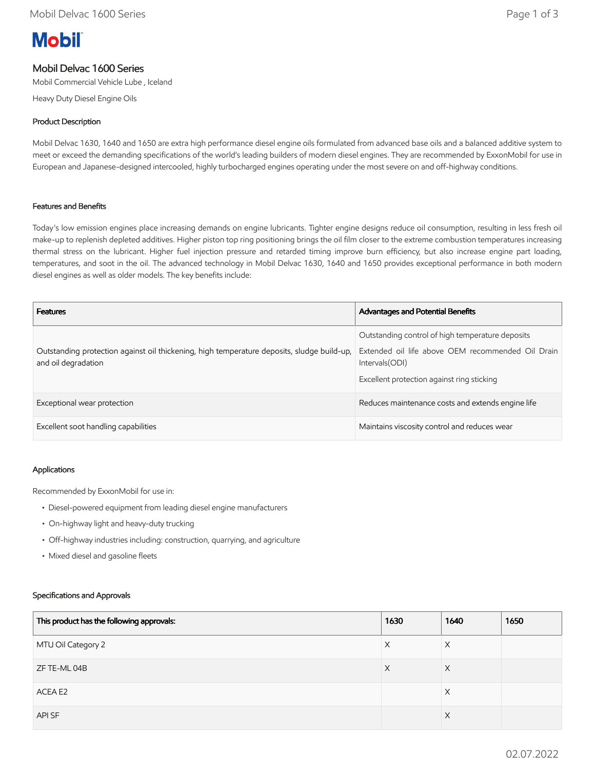# **Mobil**

### Mobil Delvac 1600 Series

Mobil Commercial Vehicle Lube , Iceland

Heavy Duty Diesel Engine Oils

#### Product Description

Mobil Delvac 1630, 1640 and 1650 are extra high performance diesel engine oils formulated from advanced base oils and a balanced additive system to meet or exceed the demanding specifications of the world's leading builders of modern diesel engines. They are recommended by ExxonMobil for use in European and Japanese-designed intercooled, highly turbocharged engines operating under the most severe on and off-highway conditions.

#### Features and Benefits

Today's low emission engines place increasing demands on engine lubricants. Tighter engine designs reduce oil consumption, resulting in less fresh oil make-up to replenish depleted additives. Higher piston top ring positioning brings the oil film closer to the extreme combustion temperatures increasing thermal stress on the lubricant. Higher fuel injection pressure and retarded timing improve burn efficiency, but also increase engine part loading, temperatures, and soot in the oil. The advanced technology in Mobil Delvac 1630, 1640 and 1650 provides exceptional performance in both modern diesel engines as well as older models. The key benefits include:

| <b>Features</b>                                                                                                   | <b>Advantages and Potential Benefits</b>                                                                                                                               |
|-------------------------------------------------------------------------------------------------------------------|------------------------------------------------------------------------------------------------------------------------------------------------------------------------|
| Outstanding protection against oil thickening, high temperature deposits, sludge build-up,<br>and oil degradation | Outstanding control of high temperature deposits<br>Extended oil life above OEM recommended Oil Drain<br>Intervals (ODI)<br>Excellent protection against ring sticking |
| Exceptional wear protection                                                                                       | Reduces maintenance costs and extends engine life                                                                                                                      |
| Excellent soot handling capabilities                                                                              | Maintains viscosity control and reduces wear                                                                                                                           |

#### Applications

Recommended by ExxonMobil for use in:

- Diesel-powered equipment from leading diesel engine manufacturers
- On-highway light and heavy-duty trucking
- Off-highway industries including: construction, quarrying, and agriculture
- Mixed diesel and gasoline fleets

#### Specifications and Approvals

| This product has the following approvals: | 1630 | 1640     | 1650 |
|-------------------------------------------|------|----------|------|
| MTU Oil Category 2                        | X    | $\times$ |      |
| ZF TE-ML 04B                              | X    | X        |      |
| ACEA E2                                   |      | X        |      |
| API SF                                    |      | $\times$ |      |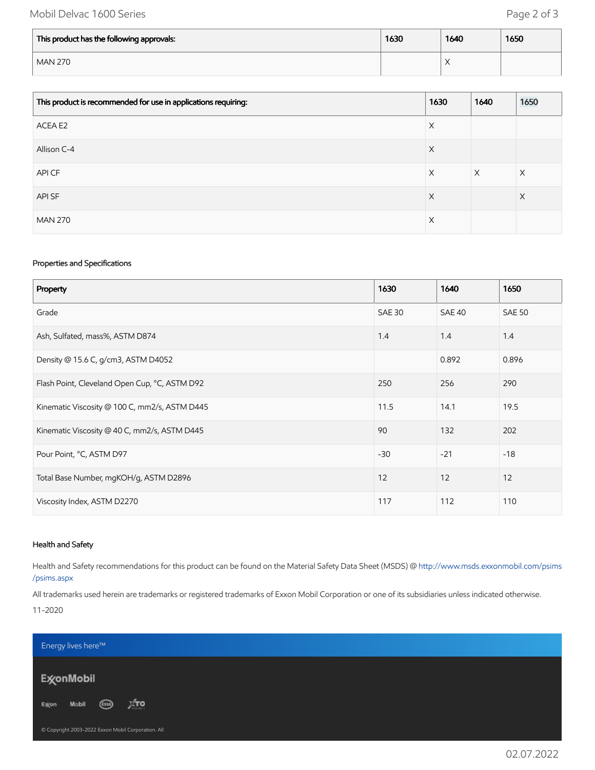## Mobil Delvac 1600 Series **Page 2 of 3**

| This product has the following approvals: | 1630 | 1640                               | 1650 |
|-------------------------------------------|------|------------------------------------|------|
| <b>MAN 270</b>                            |      | $\checkmark$<br>$\curvearrowright$ |      |

| This product is recommended for use in applications requiring: | 1630 | 1640     | 1650     |
|----------------------------------------------------------------|------|----------|----------|
| ACEA E2                                                        | X    |          |          |
| Allison C-4                                                    | X    |          |          |
| API CF                                                         | X    | $\times$ | $\times$ |
| API SF                                                         | X    |          | $\times$ |
| <b>MAN 270</b>                                                 | X    |          |          |

#### Properties and Specifications

| Property                                      | 1630          | 1640   | 1650          |
|-----------------------------------------------|---------------|--------|---------------|
| Grade                                         | <b>SAE 30</b> | SAE 40 | <b>SAE 50</b> |
| Ash, Sulfated, mass%, ASTM D874               | 1.4           | 1.4    | 1.4           |
| Density @ 15.6 C, g/cm3, ASTM D4052           |               | 0.892  | 0.896         |
| Flash Point, Cleveland Open Cup, °C, ASTM D92 | 250           | 256    | 290           |
| Kinematic Viscosity @ 100 C, mm2/s, ASTM D445 | 11.5          | 14.1   | 19.5          |
| Kinematic Viscosity @ 40 C, mm2/s, ASTM D445  | 90            | 132    | 202           |
| Pour Point, °C, ASTM D97                      | $-30$         | $-21$  | $-18$         |
| Total Base Number, mgKOH/g, ASTM D2896        | 12            | 12     | 12            |
| Viscosity Index, ASTM D2270                   | 117           | 112    | 110           |

#### Health and Safety

Health and Safety recommendations for this product can be found on the Material Safety Data Sheet (MSDS) @ [http://www.msds.exxonmobil.com/psims](http://www.msds.exxonmobil.com/psims/psims.aspx) /psims.aspx

All trademarks used herein are trademarks or registered trademarks of Exxon Mobil Corporation or one of its subsidiaries unless indicated otherwise.

11-2020